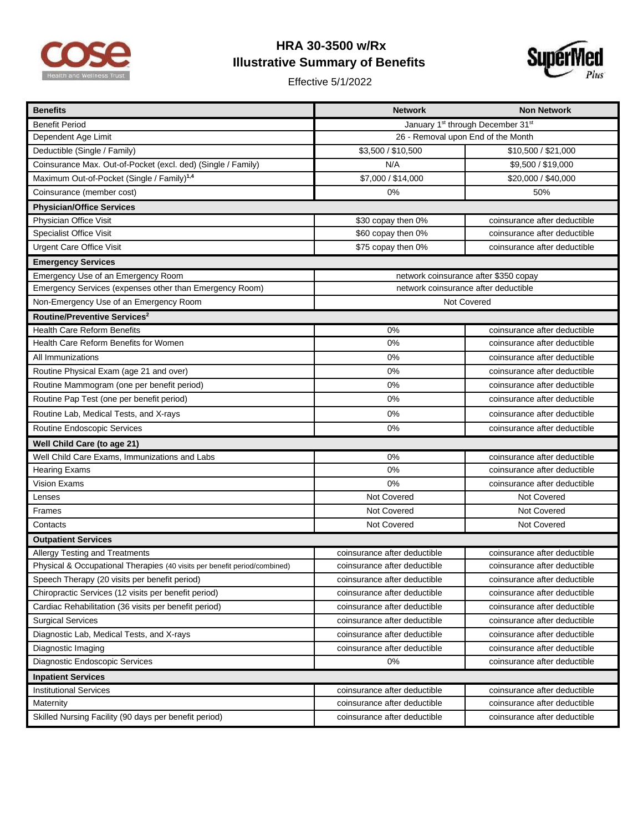

## **HRA 30-3500 w/Rx Illustrative Summary of Benefits**

Effective 5/1/2022



| <b>Benefits</b>                                                           | <b>Network</b>                        | <b>Non Network</b>           |  |
|---------------------------------------------------------------------------|---------------------------------------|------------------------------|--|
| <b>Benefit Period</b>                                                     | January 1st through December 31st     |                              |  |
| Dependent Age Limit                                                       | 26 - Removal upon End of the Month    |                              |  |
| Deductible (Single / Family)                                              | \$3,500 / \$10,500                    | \$10,500 / \$21,000          |  |
| Coinsurance Max. Out-of-Pocket (excl. ded) (Single / Family)              | N/A                                   | \$9,500 / \$19,000           |  |
| Maximum Out-of-Pocket (Single / Family) <sup>1,4</sup>                    | \$7,000 / \$14,000                    | \$20,000 / \$40,000          |  |
| Coinsurance (member cost)                                                 | 0%                                    | 50%                          |  |
| <b>Physician/Office Services</b>                                          |                                       |                              |  |
| Physician Office Visit                                                    | \$30 copay then 0%                    | coinsurance after deductible |  |
| <b>Specialist Office Visit</b>                                            | \$60 copay then 0%                    | coinsurance after deductible |  |
| <b>Urgent Care Office Visit</b>                                           | \$75 copay then 0%                    | coinsurance after deductible |  |
| <b>Emergency Services</b>                                                 |                                       |                              |  |
| Emergency Use of an Emergency Room                                        | network coinsurance after \$350 copay |                              |  |
| Emergency Services (expenses other than Emergency Room)                   | network coinsurance after deductible  |                              |  |
| Non-Emergency Use of an Emergency Room                                    | Not Covered                           |                              |  |
| Routine/Preventive Services <sup>2</sup>                                  |                                       |                              |  |
| <b>Health Care Reform Benefits</b>                                        | 0%                                    | coinsurance after deductible |  |
| Health Care Reform Benefits for Women                                     | 0%                                    | coinsurance after deductible |  |
| All Immunizations                                                         | 0%                                    | coinsurance after deductible |  |
| Routine Physical Exam (age 21 and over)                                   | 0%                                    | coinsurance after deductible |  |
| Routine Mammogram (one per benefit period)                                | 0%                                    | coinsurance after deductible |  |
| Routine Pap Test (one per benefit period)                                 | 0%                                    | coinsurance after deductible |  |
| Routine Lab, Medical Tests, and X-rays                                    | 0%                                    | coinsurance after deductible |  |
| Routine Endoscopic Services                                               | 0%                                    | coinsurance after deductible |  |
| Well Child Care (to age 21)                                               |                                       |                              |  |
| Well Child Care Exams, Immunizations and Labs                             | 0%                                    | coinsurance after deductible |  |
| <b>Hearing Exams</b>                                                      | 0%                                    | coinsurance after deductible |  |
| <b>Vision Exams</b>                                                       | 0%                                    | coinsurance after deductible |  |
| Lenses                                                                    | Not Covered                           | Not Covered                  |  |
| Frames                                                                    | Not Covered                           | Not Covered                  |  |
| Contacts                                                                  | Not Covered                           | Not Covered                  |  |
| <b>Outpatient Services</b>                                                |                                       |                              |  |
| Allergy Testing and Treatments                                            | coinsurance after deductible          | coinsurance after deductible |  |
| Physical & Occupational Therapies (40 visits per benefit period/combined) | coinsurance after deductible          | coinsurance after deductible |  |
| Speech Therapy (20 visits per benefit period)                             | coinsurance after deductible          | coinsurance after deductible |  |
| Chiropractic Services (12 visits per benefit period)                      | coinsurance after deductible          | coinsurance after deductible |  |
| Cardiac Rehabilitation (36 visits per benefit period)                     | coinsurance after deductible          | coinsurance after deductible |  |
| <b>Surgical Services</b>                                                  | coinsurance after deductible          | coinsurance after deductible |  |
| Diagnostic Lab, Medical Tests, and X-rays                                 | coinsurance after deductible          | coinsurance after deductible |  |
| Diagnostic Imaging                                                        | coinsurance after deductible          | coinsurance after deductible |  |
| Diagnostic Endoscopic Services                                            | $0\%$                                 | coinsurance after deductible |  |
| <b>Inpatient Services</b>                                                 |                                       |                              |  |
| <b>Institutional Services</b>                                             | coinsurance after deductible          | coinsurance after deductible |  |
| Maternity                                                                 | coinsurance after deductible          | coinsurance after deductible |  |
| Skilled Nursing Facility (90 days per benefit period)                     | coinsurance after deductible          | coinsurance after deductible |  |